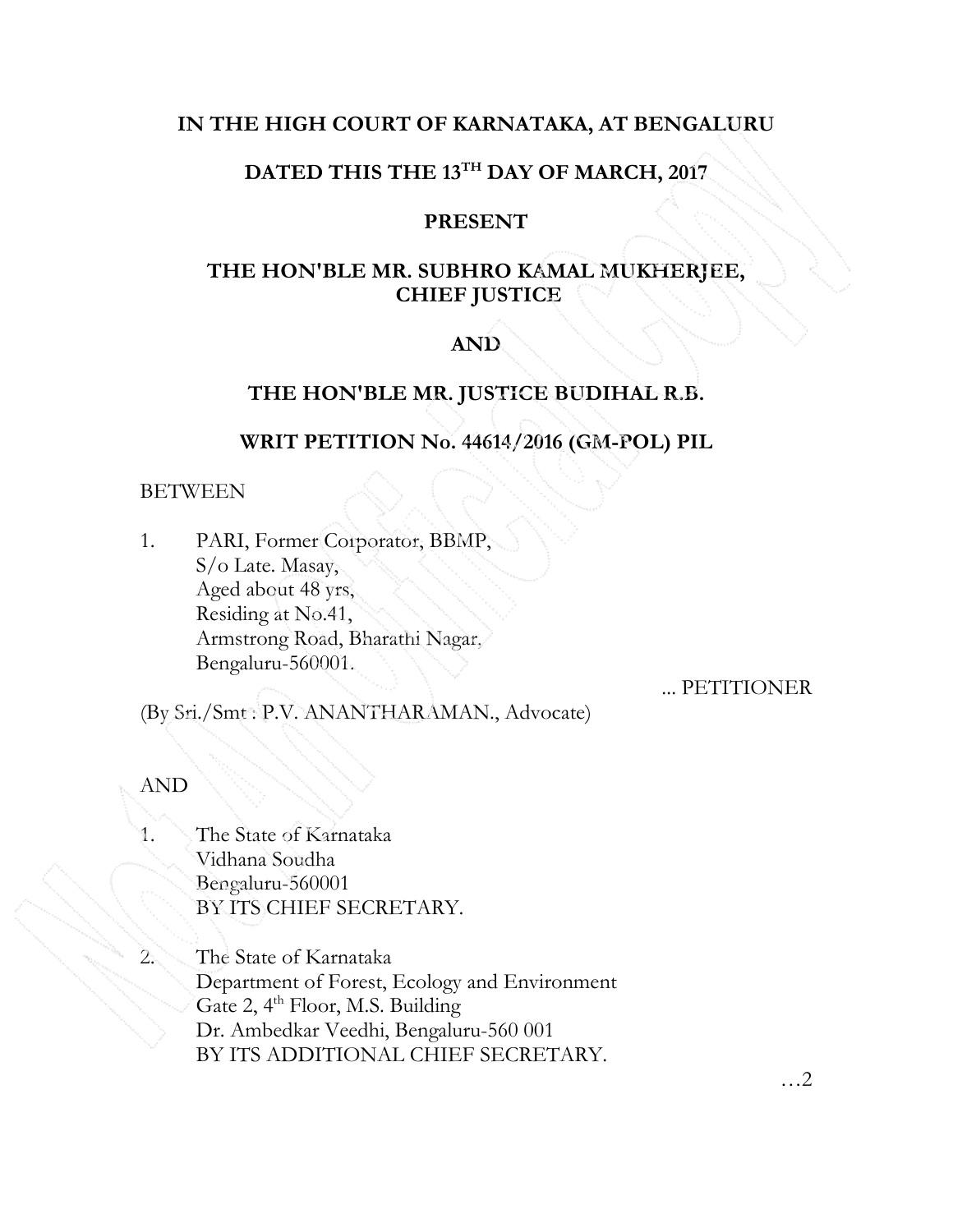# IN THE HIGH COURT OF KARNATAKA, AT BENGALURU

# DATED THIS THE 13TH DAY OF MARCH, 2017

### PRESENT

# THE HON'BLE MR. SUBHRO KAMAL MUKHERJEE, CHIEF JUSTICE

# AND

# THE HON'BLE MR. JUSTICE BUDIHAL R.B.

### WRIT PETITION No. 44614/2016 (GM-POL) PIL

### **BETWEEN**

1. PARI, Former Corporator, BBMP, S/o Late. Masay, Aged about 48 yrs, Residing at No.41, Armstrong Road, Bharathi Nagar, Bengaluru-560001.

... PETITIONER

(By Sri./Smt : P.V. ANANTHARAMAN., Advocate)

AND

The State of Karnataka Vidhana Soudha Bengaluru-560001 BY ITS CHIEF SECRETARY.

2. The State of Karnataka Department of Forest, Ecology and Environment Gate 2, 4<sup>th</sup> Floor, M.S. Building Dr. Ambedkar Veedhi, Bengaluru-560 001 BY ITS ADDITIONAL CHIEF SECRETARY.

…2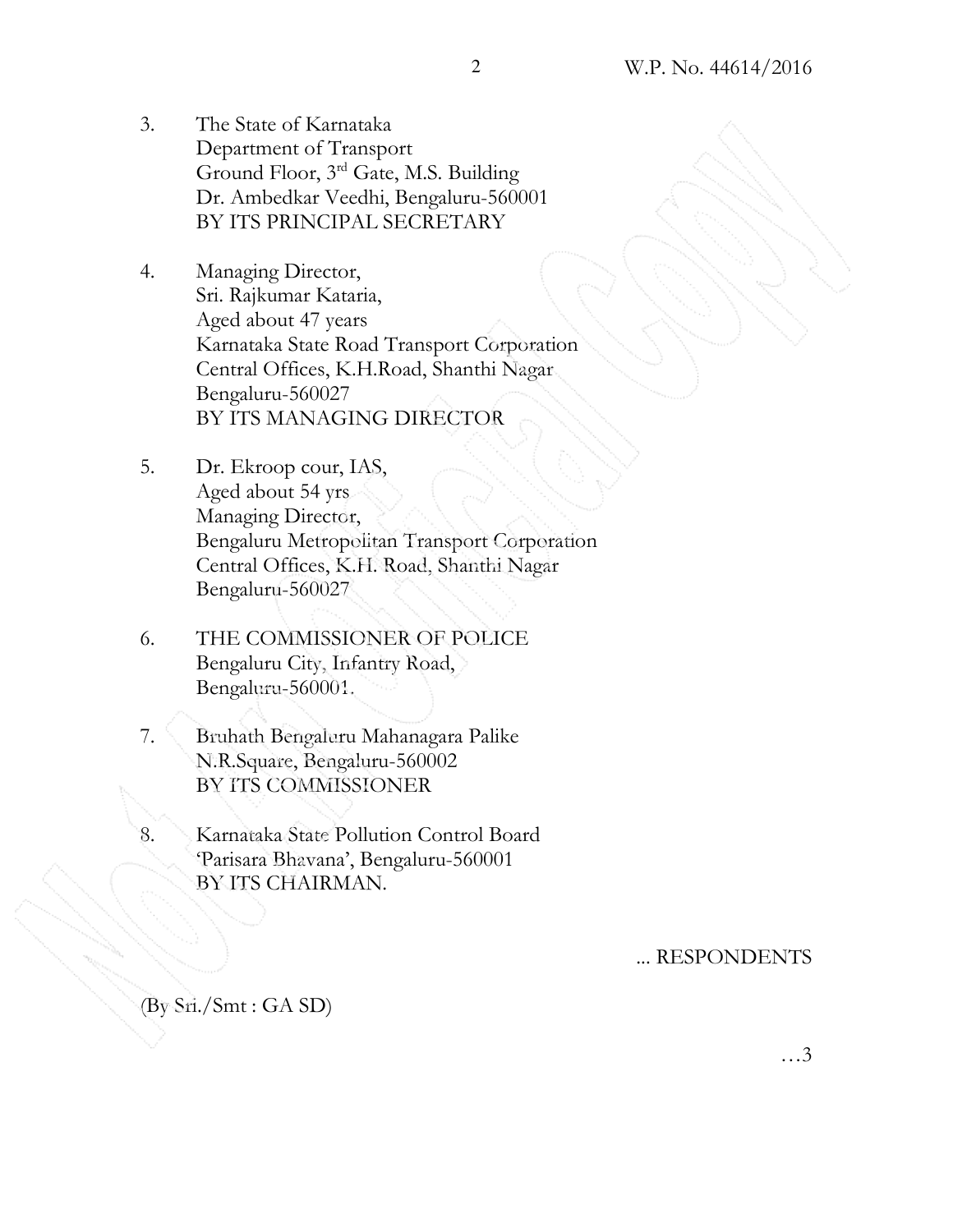- 3. The State of Karnataka Department of Transport Ground Floor, 3rd Gate, M.S. Building Dr. Ambedkar Veedhi, Bengaluru-560001 BY ITS PRINCIPAL SECRETARY
- 4. Managing Director, Sri. Rajkumar Kataria, Aged about 47 years Karnataka State Road Transport Corporation Central Offices, K.H.Road, Shanthi Nagar Bengaluru-560027 BY ITS MANAGING DIRECTOR
- 5. Dr. Ekroop cour, IAS, Aged about 54 yrs Managing Director, Bengaluru Metropolitan Transport Corporation Central Offices, K.H. Road, Shanthi Nagar Bengaluru-560027
- 6. THE COMMISSIONER OF POLICE Bengaluru City, Infantry Road, Bengaluru-560001.
- 7. Bruhath Bengaluru Mahanagara Palike N.R.Square, Bengaluru-560002 BY ITS COMMISSIONER
- 8. Karnataka State Pollution Control Board 'Parisara Bhavana', Bengaluru-560001 BY ITS CHAIRMAN.

### ... RESPONDENTS

(By Sri./Smt : GA SD)